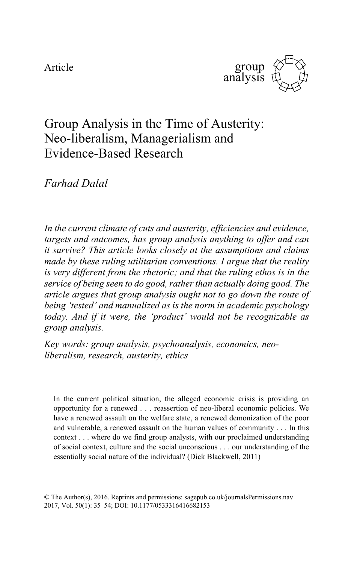## Article



# Group Analysis in the Time of Austerity: Neo-liberalism, Managerialism and Evidence-Based Research

*Farhad Dalal*

*In the current climate of cuts and austerity, efficiencies and evidence, targets and outcomes, has group analysis anything to offer and can it survive? This article looks closely at the assumptions and claims made by these ruling utilitarian conventions. I argue that the reality is very different from the rhetoric; and that the ruling ethos is in the service of being seen to do good, rather than actually doing good. The article argues that group analysis ought not to go down the route of being 'tested' and manualized as is the norm in academic psychology today. And if it were, the 'product' would not be recognizable as group analysis.*

*Key words: group analysis, psychoanalysis, economics, neoliberalism, research, austerity, ethics*

In the current political situation, the alleged economic crisis is providing an opportunity for a renewed . . . reassertion of neo-liberal economic policies. We have a renewed assault on the welfare state, a renewed demonization of the poor and vulnerable, a renewed assault on the human values of community . . . In this context . . . where do we find group analysts, with our proclaimed understanding of social context, culture and the social unconscious . . . our understanding of the essentially social nature of the individual? (Dick Blackwell, 2011)

<sup>2017,</sup> Vol. 50(1): 35–54; DOI: 10.1177/0533316416682153 © The Author(s), 2016. Reprints and permissions: sagepub.co.uk/journalsPermissions.nav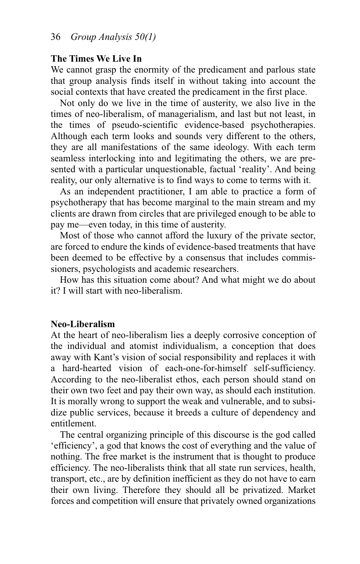#### **The Times We Live In**

We cannot grasp the enormity of the predicament and parlous state that group analysis finds itself in without taking into account the social contexts that have created the predicament in the first place.

Not only do we live in the time of austerity, we also live in the times of neo-liberalism, of managerialism, and last but not least, in the times of pseudo-scientific evidence-based psychotherapies. Although each term looks and sounds very different to the others, they are all manifestations of the same ideology. With each term seamless interlocking into and legitimating the others, we are presented with a particular unquestionable, factual 'reality'. And being reality, our only alternative is to find ways to come to terms with it.

As an independent practitioner, I am able to practice a form of psychotherapy that has become marginal to the main stream and my clients are drawn from circles that are privileged enough to be able to pay me—even today, in this time of austerity.

Most of those who cannot afford the luxury of the private sector, are forced to endure the kinds of evidence-based treatments that have been deemed to be effective by a consensus that includes commissioners, psychologists and academic researchers.

How has this situation come about? And what might we do about it? I will start with neo-liberalism.

## **Neo-Liberalism**

At the heart of neo-liberalism lies a deeply corrosive conception of the individual and atomist individualism, a conception that does away with Kant's vision of social responsibility and replaces it with a hard-hearted vision of each-one-for-himself self-sufficiency. According to the neo-liberalist ethos, each person should stand on their own two feet and pay their own way, as should each institution. It is morally wrong to support the weak and vulnerable, and to subsidize public services, because it breeds a culture of dependency and entitlement.

The central organizing principle of this discourse is the god called 'efficiency', a god that knows the cost of everything and the value of nothing. The free market is the instrument that is thought to produce efficiency. The neo-liberalists think that all state run services, health, transport, etc., are by definition inefficient as they do not have to earn their own living. Therefore they should all be privatized. Market forces and competition will ensure that privately owned organizations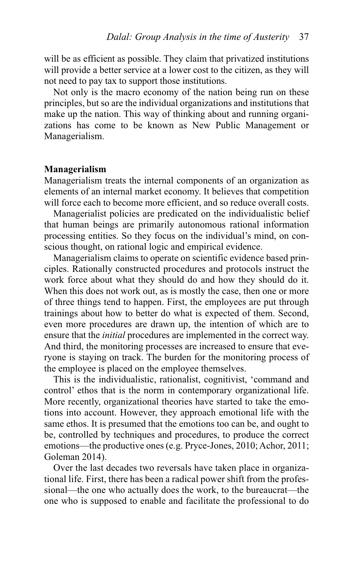will be as efficient as possible. They claim that privatized institutions will provide a better service at a lower cost to the citizen, as they will not need to pay tax to support those institutions.

Not only is the macro economy of the nation being run on these principles, but so are the individual organizations and institutions that make up the nation. This way of thinking about and running organizations has come to be known as New Public Management or Managerialism.

#### **Managerialism**

Managerialism treats the internal components of an organization as elements of an internal market economy. It believes that competition will force each to become more efficient, and so reduce overall costs.

Managerialist policies are predicated on the individualistic belief that human beings are primarily autonomous rational information processing entities. So they focus on the individual's mind, on conscious thought, on rational logic and empirical evidence.

Managerialism claims to operate on scientific evidence based principles. Rationally constructed procedures and protocols instruct the work force about what they should do and how they should do it. When this does not work out, as is mostly the case, then one or more of three things tend to happen. First, the employees are put through trainings about how to better do what is expected of them. Second, even more procedures are drawn up, the intention of which are to ensure that the *initial* procedures are implemented in the correct way. And third, the monitoring processes are increased to ensure that everyone is staying on track. The burden for the monitoring process of the employee is placed on the employee themselves.

This is the individualistic, rationalist, cognitivist, 'command and control' ethos that is the norm in contemporary organizational life. More recently, organizational theories have started to take the emotions into account. However, they approach emotional life with the same ethos. It is presumed that the emotions too can be, and ought to be, controlled by techniques and procedures, to produce the correct emotions—the productive ones (e.g. Pryce-Jones, 2010; Achor, 2011; Goleman 2014).

Over the last decades two reversals have taken place in organizational life. First, there has been a radical power shift from the professional—the one who actually does the work, to the bureaucrat—the one who is supposed to enable and facilitate the professional to do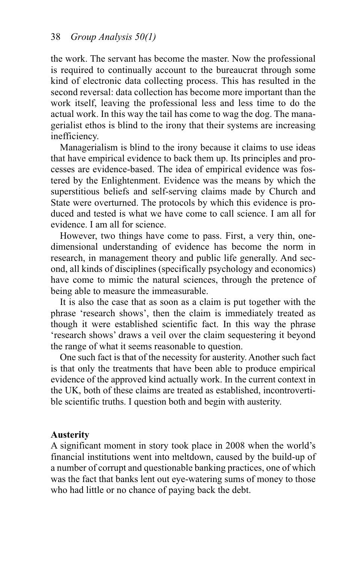the work. The servant has become the master. Now the professional is required to continually account to the bureaucrat through some kind of electronic data collecting process. This has resulted in the second reversal: data collection has become more important than the work itself, leaving the professional less and less time to do the actual work. In this way the tail has come to wag the dog. The managerialist ethos is blind to the irony that their systems are increasing inefficiency.

Managerialism is blind to the irony because it claims to use ideas that have empirical evidence to back them up. Its principles and processes are evidence-based. The idea of empirical evidence was fostered by the Enlightenment. Evidence was the means by which the superstitious beliefs and self-serving claims made by Church and State were overturned. The protocols by which this evidence is produced and tested is what we have come to call science. I am all for evidence. I am all for science.

However, two things have come to pass. First, a very thin, onedimensional understanding of evidence has become the norm in research, in management theory and public life generally. And second, all kinds of disciplines (specifically psychology and economics) have come to mimic the natural sciences, through the pretence of being able to measure the immeasurable.

It is also the case that as soon as a claim is put together with the phrase 'research shows', then the claim is immediately treated as though it were established scientific fact. In this way the phrase 'research shows' draws a veil over the claim sequestering it beyond the range of what it seems reasonable to question.

One such fact is that of the necessity for austerity. Another such fact is that only the treatments that have been able to produce empirical evidence of the approved kind actually work. In the current context in the UK, both of these claims are treated as established, incontrovertible scientific truths. I question both and begin with austerity.

## **Austerity**

A significant moment in story took place in 2008 when the world's financial institutions went into meltdown, caused by the build-up of a number of corrupt and questionable banking practices, one of which was the fact that banks lent out eye-watering sums of money to those who had little or no chance of paying back the debt.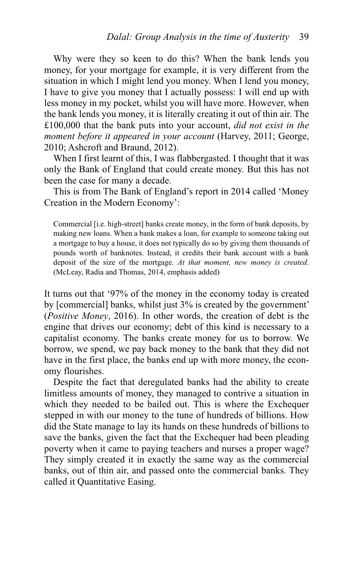Why were they so keen to do this? When the bank lends you money, for your mortgage for example, it is very different from the situation in which I might lend you money. When I lend you money, I have to give you money that I actually possess: I will end up with less money in my pocket, whilst you will have more. However, when the bank lends you money, it is literally creating it out of thin air. The £100,000 that the bank puts into your account, *did not exist in the moment before it appeared in your account* (Harvey, 2011; George, 2010; Ashcroft and Braund, 2012).

When I first learnt of this, I was flabbergasted. I thought that it was only the Bank of England that could create money. But this has not been the case for many a decade.

This is from The Bank of England's report in 2014 called 'Money Creation in the Modern Economy':

Commercial [i.e. high-street] banks create money, in the form of bank deposits, by making new loans. When a bank makes a loan, for example to someone taking out a mortgage to buy a house, it does not typically do so by giving them thousands of pounds worth of banknotes. Instead, it credits their bank account with a bank deposit of the size of the mortgage. *At that moment, new money is created*. (McLeay, Radia and Thomas, 2014, emphasis added)

It turns out that '97% of the money in the economy today is created by [commercial] banks, whilst just 3% is created by the government' (*Positive Money*, 2016). In other words, the creation of debt is the engine that drives our economy; debt of this kind is necessary to a capitalist economy. The banks create money for us to borrow. We borrow, we spend, we pay back money to the bank that they did not have in the first place, the banks end up with more money, the economy flourishes.

Despite the fact that deregulated banks had the ability to create limitless amounts of money, they managed to contrive a situation in which they needed to be bailed out. This is where the Exchequer stepped in with our money to the tune of hundreds of billions. How did the State manage to lay its hands on these hundreds of billions to save the banks, given the fact that the Exchequer had been pleading poverty when it came to paying teachers and nurses a proper wage? They simply created it in exactly the same way as the commercial banks, out of thin air, and passed onto the commercial banks. They called it Quantitative Easing.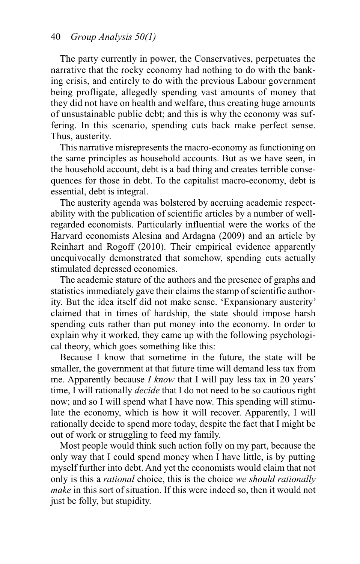The party currently in power, the Conservatives, perpetuates the narrative that the rocky economy had nothing to do with the banking crisis, and entirely to do with the previous Labour government being profligate, allegedly spending vast amounts of money that they did not have on health and welfare, thus creating huge amounts of unsustainable public debt; and this is why the economy was suffering. In this scenario, spending cuts back make perfect sense. Thus, austerity.

This narrative misrepresents the macro-economy as functioning on the same principles as household accounts. But as we have seen, in the household account, debt is a bad thing and creates terrible consequences for those in debt. To the capitalist macro-economy, debt is essential, debt is integral.

The austerity agenda was bolstered by accruing academic respectability with the publication of scientific articles by a number of wellregarded economists. Particularly influential were the works of the Harvard economists Alesina and Ardagna (2009) and an article by Reinhart and Rogoff (2010). Their empirical evidence apparently unequivocally demonstrated that somehow, spending cuts actually stimulated depressed economies.

The academic stature of the authors and the presence of graphs and statistics immediately gave their claims the stamp of scientific authority. But the idea itself did not make sense. 'Expansionary austerity' claimed that in times of hardship, the state should impose harsh spending cuts rather than put money into the economy. In order to explain why it worked, they came up with the following psychological theory, which goes something like this:

Because I know that sometime in the future, the state will be smaller, the government at that future time will demand less tax from me. Apparently because *I know* that I will pay less tax in 20 years' time, I will rationally *decide* that I do not need to be so cautious right now; and so I will spend what I have now. This spending will stimulate the economy, which is how it will recover. Apparently, I will rationally decide to spend more today, despite the fact that I might be out of work or struggling to feed my family.

Most people would think such action folly on my part, because the only way that I could spend money when I have little, is by putting myself further into debt. And yet the economists would claim that not only is this a *rational* choice, this is the choice *we should rationally make* in this sort of situation. If this were indeed so, then it would not just be folly, but stupidity.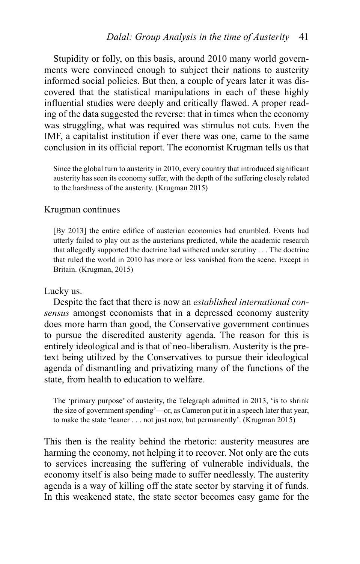Stupidity or folly, on this basis, around 2010 many world governments were convinced enough to subject their nations to austerity informed social policies. But then, a couple of years later it was discovered that the statistical manipulations in each of these highly influential studies were deeply and critically flawed. A proper reading of the data suggested the reverse: that in times when the economy was struggling, what was required was stimulus not cuts. Even the IMF, a capitalist institution if ever there was one, came to the same conclusion in its official report. The economist Krugman tells us that

Since the global turn to austerity in 2010, every country that introduced significant austerity has seen its economy suffer, with the depth of the suffering closely related to the harshness of the austerity. (Krugman 2015)

#### Krugman continues

[By 2013] the entire edifice of austerian economics had crumbled. Events had utterly failed to play out as the austerians predicted, while the academic research that allegedly supported the doctrine had withered under scrutiny . . . The doctrine that ruled the world in 2010 has more or less vanished from the scene. Except in Britain. (Krugman, 2015)

#### Lucky us.

Despite the fact that there is now an *established international consensus* amongst economists that in a depressed economy austerity does more harm than good, the Conservative government continues to pursue the discredited austerity agenda. The reason for this is entirely ideological and is that of neo-liberalism. Austerity is the pretext being utilized by the Conservatives to pursue their ideological agenda of dismantling and privatizing many of the functions of the state, from health to education to welfare.

The 'primary purpose' of austerity, the Telegraph admitted in 2013, 'is to shrink the size of government spending'—or, as Cameron put it in a speech later that year, to make the state 'leaner . . . not just now, but permanently'. (Krugman 2015)

This then is the reality behind the rhetoric: austerity measures are harming the economy, not helping it to recover. Not only are the cuts to services increasing the suffering of vulnerable individuals, the economy itself is also being made to suffer needlessly. The austerity agenda is a way of killing off the state sector by starving it of funds. In this weakened state, the state sector becomes easy game for the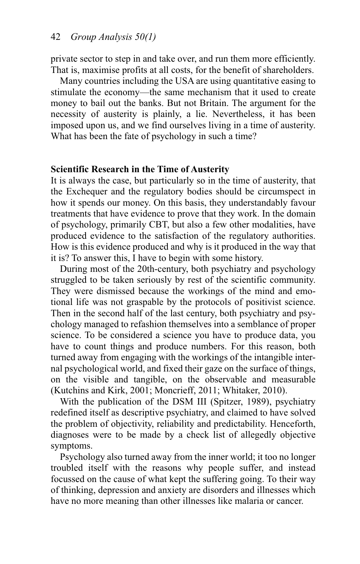private sector to step in and take over, and run them more efficiently. That is, maximise profits at all costs, for the benefit of shareholders.

Many countries including the USA are using quantitative easing to stimulate the economy—the same mechanism that it used to create money to bail out the banks. But not Britain. The argument for the necessity of austerity is plainly, a lie. Nevertheless, it has been imposed upon us, and we find ourselves living in a time of austerity. What has been the fate of psychology in such a time?

#### **Scientific Research in the Time of Austerity**

It is always the case, but particularly so in the time of austerity, that the Exchequer and the regulatory bodies should be circumspect in how it spends our money. On this basis, they understandably favour treatments that have evidence to prove that they work. In the domain of psychology, primarily CBT, but also a few other modalities, have produced evidence to the satisfaction of the regulatory authorities. How is this evidence produced and why is it produced in the way that it is? To answer this, I have to begin with some history.

During most of the 20th-century, both psychiatry and psychology struggled to be taken seriously by rest of the scientific community. They were dismissed because the workings of the mind and emotional life was not graspable by the protocols of positivist science. Then in the second half of the last century, both psychiatry and psychology managed to refashion themselves into a semblance of proper science. To be considered a science you have to produce data, you have to count things and produce numbers. For this reason, both turned away from engaging with the workings of the intangible internal psychological world, and fixed their gaze on the surface of things, on the visible and tangible, on the observable and measurable (Kutchins and Kirk, 2001; Moncrieff, 2011; Whitaker, 2010).

With the publication of the DSM III (Spitzer, 1989), psychiatry redefined itself as descriptive psychiatry, and claimed to have solved the problem of objectivity, reliability and predictability. Henceforth, diagnoses were to be made by a check list of allegedly objective symptoms.

Psychology also turned away from the inner world; it too no longer troubled itself with the reasons why people suffer, and instead focussed on the cause of what kept the suffering going. To their way of thinking, depression and anxiety are disorders and illnesses which have no more meaning than other illnesses like malaria or cancer.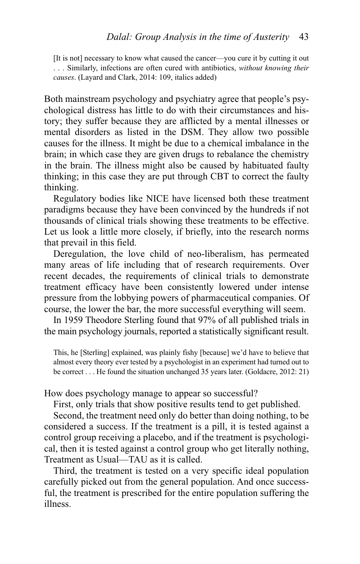[It is not] necessary to know what caused the cancer—you cure it by cutting it out . . . Similarly, infections are often cured with antibiotics, *without knowing their causes*. (Layard and Clark, 2014: 109, italics added)

Both mainstream psychology and psychiatry agree that people's psychological distress has little to do with their circumstances and history; they suffer because they are afflicted by a mental illnesses or mental disorders as listed in the DSM. They allow two possible causes for the illness. It might be due to a chemical imbalance in the brain; in which case they are given drugs to rebalance the chemistry in the brain. The illness might also be caused by habituated faulty thinking; in this case they are put through CBT to correct the faulty thinking.

Regulatory bodies like NICE have licensed both these treatment paradigms because they have been convinced by the hundreds if not thousands of clinical trials showing these treatments to be effective. Let us look a little more closely, if briefly, into the research norms that prevail in this field.

Deregulation, the love child of neo-liberalism, has permeated many areas of life including that of research requirements. Over recent decades, the requirements of clinical trials to demonstrate treatment efficacy have been consistently lowered under intense pressure from the lobbying powers of pharmaceutical companies. Of course, the lower the bar, the more successful everything will seem.

In 1959 Theodore Sterling found that 97% of all published trials in the main psychology journals, reported a statistically significant result.

This, he [Sterling] explained, was plainly fishy [because] we'd have to believe that almost every theory ever tested by a psychologist in an experiment had turned out to be correct . . . He found the situation unchanged 35 years later. (Goldacre, 2012: 21)

How does psychology manage to appear so successful?

First, only trials that show positive results tend to get published.

Second, the treatment need only do better than doing nothing, to be considered a success. If the treatment is a pill, it is tested against a control group receiving a placebo, and if the treatment is psychological, then it is tested against a control group who get literally nothing, Treatment as Usual—TAU as it is called.

Third, the treatment is tested on a very specific ideal population carefully picked out from the general population. And once successful, the treatment is prescribed for the entire population suffering the illness.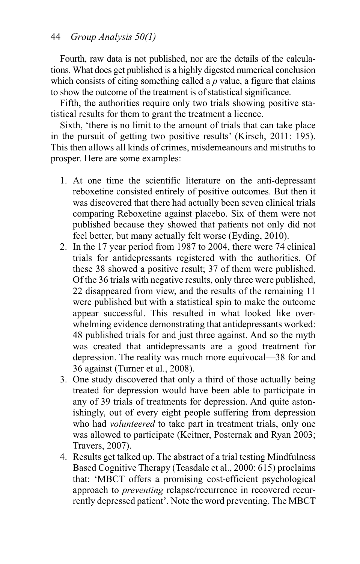Fourth, raw data is not published, nor are the details of the calculations. What does get published is a highly digested numerical conclusion which consists of citing something called a *p* value, a figure that claims to show the outcome of the treatment is of statistical significance.

Fifth, the authorities require only two trials showing positive statistical results for them to grant the treatment a licence.

Sixth, 'there is no limit to the amount of trials that can take place in the pursuit of getting two positive results' (Kirsch, 2011: 195). This then allows all kinds of crimes, misdemeanours and mistruths to prosper. Here are some examples:

- 1. At one time the scientific literature on the anti-depressant reboxetine consisted entirely of positive outcomes. But then it was discovered that there had actually been seven clinical trials comparing Reboxetine against placebo. Six of them were not published because they showed that patients not only did not feel better, but many actually felt worse (Eyding, 2010).
- 2. In the 17 year period from 1987 to 2004, there were 74 clinical trials for antidepressants registered with the authorities. Of these 38 showed a positive result; 37 of them were published. Of the 36 trials with negative results, only three were published, 22 disappeared from view, and the results of the remaining 11 were published but with a statistical spin to make the outcome appear successful. This resulted in what looked like overwhelming evidence demonstrating that antidepressants worked: 48 published trials for and just three against. And so the myth was created that antidepressants are a good treatment for depression. The reality was much more equivocal—38 for and 36 against (Turner et al., 2008).
- 3. One study discovered that only a third of those actually being treated for depression would have been able to participate in any of 39 trials of treatments for depression. And quite astonishingly, out of every eight people suffering from depression who had *volunteered* to take part in treatment trials, only one was allowed to participate (Keitner, Posternak and Ryan 2003; Travers, 2007).
- 4. Results get talked up. The abstract of a trial testing Mindfulness Based Cognitive Therapy (Teasdale et al., 2000: 615) proclaims that: 'MBCT offers a promising cost-efficient psychological approach to *preventing* relapse/recurrence in recovered recurrently depressed patient'. Note the word preventing. The MBCT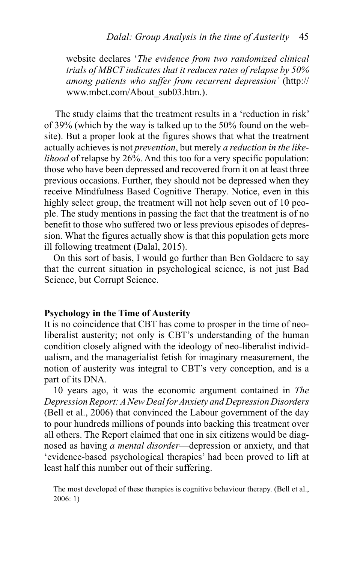website declares '*The evidence from two randomized clinical trials of MBCT indicates that it reduces rates of relapse by 50% among patients who suffer from recurrent depression'* ([http://](http://www.mbct.com/About_sub03.htm) [www.mbct.com/About\\_sub03.htm.](http://www.mbct.com/About_sub03.htm)).

The study claims that the treatment results in a 'reduction in risk' of 39% (which by the way is talked up to the 50% found on the website). But a proper look at the figures shows that what the treatment actually achieves is not *prevention*, but merely *a reduction in the likelihood* of relapse by 26%. And this too for a very specific population: those who have been depressed and recovered from it on at least three previous occasions. Further, they should not be depressed when they receive Mindfulness Based Cognitive Therapy. Notice, even in this highly select group, the treatment will not help seven out of 10 people. The study mentions in passing the fact that the treatment is of no benefit to those who suffered two or less previous episodes of depression. What the figures actually show is that this population gets more ill following treatment (Dalal, 2015).

On this sort of basis, I would go further than Ben Goldacre to say that the current situation in psychological science, is not just Bad Science, but Corrupt Science.

### **Psychology in the Time of Austerity**

It is no coincidence that CBT has come to prosper in the time of neoliberalist austerity; not only is CBT's understanding of the human condition closely aligned with the ideology of neo-liberalist individualism, and the managerialist fetish for imaginary measurement, the notion of austerity was integral to CBT's very conception, and is a part of its DNA.

10 years ago, it was the economic argument contained in *The Depression Report: A New Deal for Anxiety and Depression Disorders* (Bell et al., 2006) that convinced the Labour government of the day to pour hundreds millions of pounds into backing this treatment over all others. The Report claimed that one in six citizens would be diagnosed as having *a mental disorder*—depression or anxiety, and that 'evidence-based psychological therapies' had been proved to lift at least half this number out of their suffering.

The most developed of these therapies is cognitive behaviour therapy. (Bell et al., 2006: 1)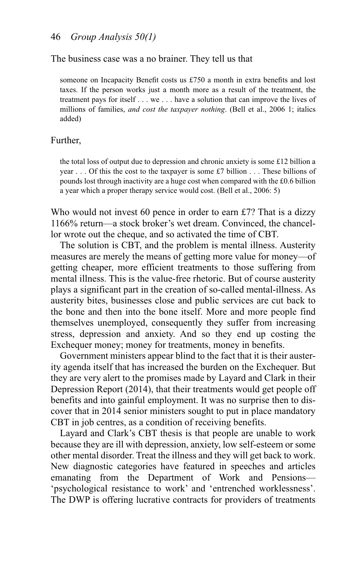The business case was a no brainer. They tell us that

someone on Incapacity Benefit costs us £750 a month in extra benefits and lost taxes. If the person works just a month more as a result of the treatment, the treatment pays for itself . . . we . . . have a solution that can improve the lives of millions of families, *and cost the taxpayer nothing*. (Bell et al., 2006 1; italics added)

#### Further,

the total loss of output due to depression and chronic anxiety is some £12 billion a year . . . Of this the cost to the taxpayer is some £7 billion . . . These billions of pounds lost through inactivity are a huge cost when compared with the £0.6 billion a year which a proper therapy service would cost. (Bell et al., 2006: 5)

Who would not invest 60 pence in order to earn £7? That is a dizzy 1166% return—a stock broker's wet dream. Convinced, the chancellor wrote out the cheque, and so activated the time of CBT.

The solution is CBT, and the problem is mental illness. Austerity measures are merely the means of getting more value for money—of getting cheaper, more efficient treatments to those suffering from mental illness. This is the value-free rhetoric. But of course austerity plays a significant part in the creation of so-called mental-illness. As austerity bites, businesses close and public services are cut back to the bone and then into the bone itself. More and more people find themselves unemployed, consequently they suffer from increasing stress, depression and anxiety. And so they end up costing the Exchequer money; money for treatments, money in benefits.

Government ministers appear blind to the fact that it is their austerity agenda itself that has increased the burden on the Exchequer. But they are very alert to the promises made by Layard and Clark in their Depression Report (2014), that their treatments would get people off benefits and into gainful employment. It was no surprise then to discover that in 2014 senior ministers sought to put in place mandatory CBT in job centres, as a condition of receiving benefits.

Layard and Clark's CBT thesis is that people are unable to work because they are ill with depression, anxiety, low self-esteem or some other mental disorder. Treat the illness and they will get back to work. New diagnostic categories have featured in speeches and articles emanating from the Department of Work and Pensions— 'psychological resistance to work' and 'entrenched worklessness'. The DWP is offering lucrative contracts for providers of treatments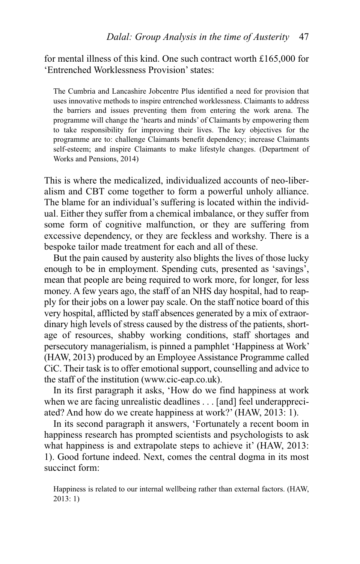for mental illness of this kind. One such contract worth £165,000 for 'Entrenched Worklessness Provision' states:

The Cumbria and Lancashire Jobcentre Plus identified a need for provision that uses innovative methods to inspire entrenched worklessness. Claimants to address the barriers and issues preventing them from entering the work arena. The programme will change the 'hearts and minds' of Claimants by empowering them to take responsibility for improving their lives. The key objectives for the programme are to: challenge Claimants benefit dependency; increase Claimants self-esteem; and inspire Claimants to make lifestyle changes. (Department of Works and Pensions, 2014)

This is where the medicalized, individualized accounts of neo-liberalism and CBT come together to form a powerful unholy alliance. The blame for an individual's suffering is located within the individual. Either they suffer from a chemical imbalance, or they suffer from some form of cognitive malfunction, or they are suffering from excessive dependency, or they are feckless and workshy. There is a bespoke tailor made treatment for each and all of these.

But the pain caused by austerity also blights the lives of those lucky enough to be in employment. Spending cuts, presented as 'savings', mean that people are being required to work more, for longer, for less money. A few years ago, the staff of an NHS day hospital, had to reapply for their jobs on a lower pay scale. On the staff notice board of this very hospital, afflicted by staff absences generated by a mix of extraordinary high levels of stress caused by the distress of the patients, shortage of resources, shabby working conditions, staff shortages and persecutory managerialism, is pinned a pamphlet 'Happiness at Work' (HAW, 2013) produced by an Employee Assistance Programme called CiC. Their task is to offer emotional support, counselling and advice to the staff of the institution [\(www.cic-eap.co.uk\)](www.cic-eap.co.uk).

In its first paragraph it asks, 'How do we find happiness at work when we are facing unrealistic deadlines . . . [and] feel underappreciated? And how do we create happiness at work?' (HAW, 2013: 1).

In its second paragraph it answers, 'Fortunately a recent boom in happiness research has prompted scientists and psychologists to ask what happiness is and extrapolate steps to achieve it' (HAW, 2013: 1). Good fortune indeed. Next, comes the central dogma in its most succinct form:

Happiness is related to our internal wellbeing rather than external factors. (HAW, 2013: 1)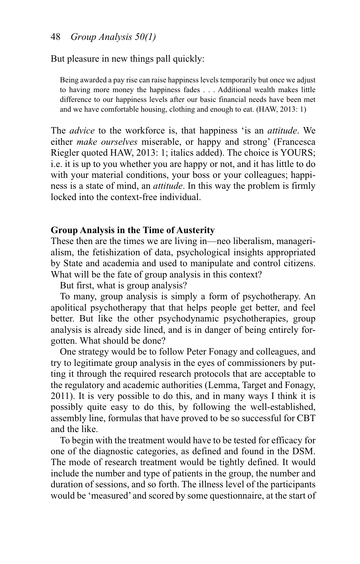#### But pleasure in new things pall quickly:

Being awarded a pay rise can raise happiness levels temporarily but once we adjust to having more money the happiness fades . . . Additional wealth makes little difference to our happiness levels after our basic financial needs have been met and we have comfortable housing, clothing and enough to eat. (HAW, 2013: 1)

The *advice* to the workforce is, that happiness 'is an *attitude*. We either *make ourselves* miserable, or happy and strong' (Francesca Riegler quoted HAW, 2013: 1; italics added). The choice is YOURS; i.e. it is up to you whether you are happy or not, and it has little to do with your material conditions, your boss or your colleagues; happiness is a state of mind, an *attitude*. In this way the problem is firmly locked into the context-free individual.

#### **Group Analysis in the Time of Austerity**

These then are the times we are living in—neo liberalism, managerialism, the fetishization of data, psychological insights appropriated by State and academia and used to manipulate and control citizens. What will be the fate of group analysis in this context?

But first, what is group analysis?

To many, group analysis is simply a form of psychotherapy. An apolitical psychotherapy that that helps people get better, and feel better. But like the other psychodynamic psychotherapies, group analysis is already side lined, and is in danger of being entirely forgotten. What should be done?

One strategy would be to follow Peter Fonagy and colleagues, and try to legitimate group analysis in the eyes of commissioners by putting it through the required research protocols that are acceptable to the regulatory and academic authorities (Lemma, Target and Fonagy, 2011). It is very possible to do this, and in many ways I think it is possibly quite easy to do this, by following the well-established, assembly line, formulas that have proved to be so successful for CBT and the like.

To begin with the treatment would have to be tested for efficacy for one of the diagnostic categories, as defined and found in the DSM. The mode of research treatment would be tightly defined. It would include the number and type of patients in the group, the number and duration of sessions, and so forth. The illness level of the participants would be 'measured' and scored by some questionnaire, at the start of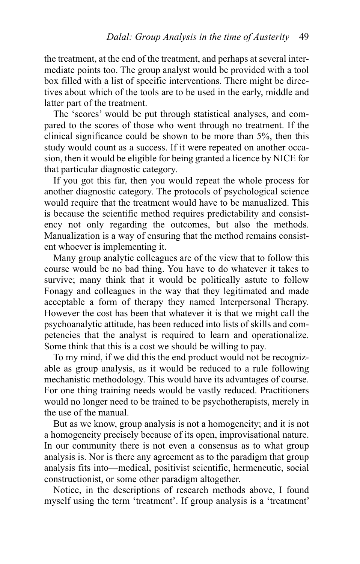the treatment, at the end of the treatment, and perhaps at several intermediate points too. The group analyst would be provided with a tool box filled with a list of specific interventions. There might be directives about which of the tools are to be used in the early, middle and latter part of the treatment.

The 'scores' would be put through statistical analyses, and compared to the scores of those who went through no treatment. If the clinical significance could be shown to be more than 5%, then this study would count as a success. If it were repeated on another occasion, then it would be eligible for being granted a licence by NICE for that particular diagnostic category.

If you got this far, then you would repeat the whole process for another diagnostic category. The protocols of psychological science would require that the treatment would have to be manualized. This is because the scientific method requires predictability and consistency not only regarding the outcomes, but also the methods. Manualization is a way of ensuring that the method remains consistent whoever is implementing it.

Many group analytic colleagues are of the view that to follow this course would be no bad thing. You have to do whatever it takes to survive; many think that it would be politically astute to follow Fonagy and colleagues in the way that they legitimated and made acceptable a form of therapy they named Interpersonal Therapy. However the cost has been that whatever it is that we might call the psychoanalytic attitude, has been reduced into lists of skills and competencies that the analyst is required to learn and operationalize. Some think that this is a cost we should be willing to pay.

To my mind, if we did this the end product would not be recognizable as group analysis, as it would be reduced to a rule following mechanistic methodology. This would have its advantages of course. For one thing training needs would be vastly reduced. Practitioners would no longer need to be trained to be psychotherapists, merely in the use of the manual.

But as we know, group analysis is not a homogeneity; and it is not a homogeneity precisely because of its open, improvisational nature. In our community there is not even a consensus as to what group analysis is. Nor is there any agreement as to the paradigm that group analysis fits into—medical, positivist scientific, hermeneutic, social constructionist, or some other paradigm altogether.

Notice, in the descriptions of research methods above, I found myself using the term 'treatment'. If group analysis is a 'treatment'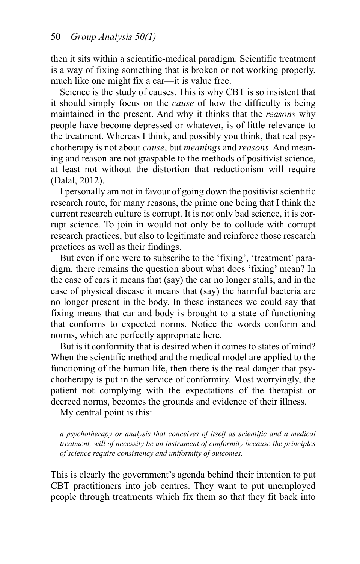then it sits within a scientific-medical paradigm. Scientific treatment is a way of fixing something that is broken or not working properly, much like one might fix a car—it is value free.

Science is the study of causes. This is why CBT is so insistent that it should simply focus on the *cause* of how the difficulty is being maintained in the present. And why it thinks that the *reasons* why people have become depressed or whatever, is of little relevance to the treatment. Whereas I think, and possibly you think, that real psychotherapy is not about *cause*, but *meanings* and *reasons*. And meaning and reason are not graspable to the methods of positivist science, at least not without the distortion that reductionism will require (Dalal, 2012).

I personally am not in favour of going down the positivist scientific research route, for many reasons, the prime one being that I think the current research culture is corrupt. It is not only bad science, it is corrupt science. To join in would not only be to collude with corrupt research practices, but also to legitimate and reinforce those research practices as well as their findings.

But even if one were to subscribe to the 'fixing', 'treatment' paradigm, there remains the question about what does 'fixing' mean? In the case of cars it means that (say) the car no longer stalls, and in the case of physical disease it means that (say) the harmful bacteria are no longer present in the body. In these instances we could say that fixing means that car and body is brought to a state of functioning that conforms to expected norms. Notice the words conform and norms, which are perfectly appropriate here.

But is it conformity that is desired when it comes to states of mind? When the scientific method and the medical model are applied to the functioning of the human life, then there is the real danger that psychotherapy is put in the service of conformity. Most worryingly, the patient not complying with the expectations of the therapist or decreed norms, becomes the grounds and evidence of their illness.

My central point is this:

*a psychotherapy or analysis that conceives of itself as scientific and a medical treatment, will of necessity be an instrument of conformity because the principles of science require consistency and uniformity of outcomes.*

This is clearly the government's agenda behind their intention to put CBT practitioners into job centres. They want to put unemployed people through treatments which fix them so that they fit back into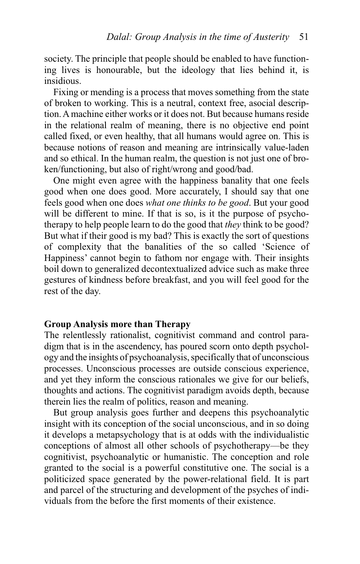society. The principle that people should be enabled to have functioning lives is honourable, but the ideology that lies behind it, is insidious.

Fixing or mending is a process that moves something from the state of broken to working. This is a neutral, context free, asocial description. A machine either works or it does not. But because humans reside in the relational realm of meaning, there is no objective end point called fixed, or even healthy, that all humans would agree on. This is because notions of reason and meaning are intrinsically value-laden and so ethical. In the human realm, the question is not just one of broken/functioning, but also of right/wrong and good/bad.

One might even agree with the happiness banality that one feels good when one does good. More accurately, I should say that one feels good when one does *what one thinks to be good*. But your good will be different to mine. If that is so, is it the purpose of psychotherapy to help people learn to do the good that *they* think to be good? But what if their good is my bad? This is exactly the sort of questions of complexity that the banalities of the so called 'Science of Happiness' cannot begin to fathom nor engage with. Their insights boil down to generalized decontextualized advice such as make three gestures of kindness before breakfast, and you will feel good for the rest of the day.

#### **Group Analysis more than Therapy**

The relentlessly rationalist, cognitivist command and control paradigm that is in the ascendency, has poured scorn onto depth psychology and the insights of psychoanalysis, specifically that of unconscious processes. Unconscious processes are outside conscious experience, and yet they inform the conscious rationales we give for our beliefs, thoughts and actions. The cognitivist paradigm avoids depth, because therein lies the realm of politics, reason and meaning.

But group analysis goes further and deepens this psychoanalytic insight with its conception of the social unconscious, and in so doing it develops a metapsychology that is at odds with the individualistic conceptions of almost all other schools of psychotherapy—be they cognitivist, psychoanalytic or humanistic. The conception and role granted to the social is a powerful constitutive one. The social is a politicized space generated by the power-relational field. It is part and parcel of the structuring and development of the psyches of individuals from the before the first moments of their existence.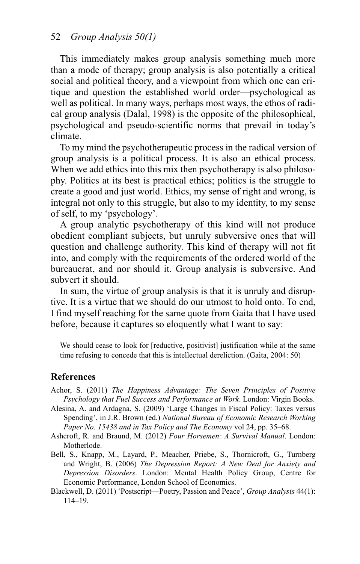This immediately makes group analysis something much more than a mode of therapy; group analysis is also potentially a critical social and political theory, and a viewpoint from which one can critique and question the established world order—psychological as well as political. In many ways, perhaps most ways, the ethos of radical group analysis (Dalal, 1998) is the opposite of the philosophical, psychological and pseudo-scientific norms that prevail in today's climate.

To my mind the psychotherapeutic process in the radical version of group analysis is a political process. It is also an ethical process. When we add ethics into this mix then psychotherapy is also philosophy. Politics at its best is practical ethics; politics is the struggle to create a good and just world. Ethics, my sense of right and wrong, is integral not only to this struggle, but also to my identity, to my sense of self, to my 'psychology'.

A group analytic psychotherapy of this kind will not produce obedient compliant subjects, but unruly subversive ones that will question and challenge authority. This kind of therapy will not fit into, and comply with the requirements of the ordered world of the bureaucrat, and nor should it. Group analysis is subversive. And subvert it should.

In sum, the virtue of group analysis is that it is unruly and disruptive. It is a virtue that we should do our utmost to hold onto. To end, I find myself reaching for the same quote from Gaita that I have used before, because it captures so eloquently what I want to say:

We should cease to look for [reductive, positivist] justification while at the same time refusing to concede that this is intellectual dereliction. (Gaita, 2004: 50)

#### **References**

- Achor, S. (2011) *The Happiness Advantage: The Seven Principles of Positive Psychology that Fuel Success and Performance at Work*. London: Virgin Books.
- Alesina, A. and Ardagna, S. (2009) 'Large Changes in Fiscal Policy: Taxes versus Spending', in J.R. Brown (ed.) *National Bureau of Economic Research Working Paper No. 15438 and in Tax Policy and The Economy* vol 24, pp. 35–68.
- Ashcroft, R. and Braund, M. (2012) *Four Horsemen: A Survival Manual*. London: Motherlode.
- Bell, S., Knapp, M., Layard, P., Meacher, Priebe, S., Thornicroft, G., Turnberg and Wright, B. (2006) *The Depression Report: A New Deal for Anxiety and Depression Disorders*. London: Mental Health Policy Group, Centre for Economic Performance, London School of Economics.
- Blackwell, D. (2011) 'Postscript—Poetry, Passion and Peace', *Group Analysis* 44(1): 114–19.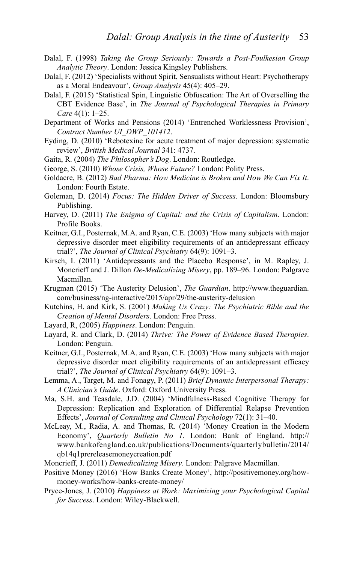- Dalal, F. (1998) *Taking the Group Seriously: Towards a Post-Foulkesian Group Analytic Theory*. London: Jessica Kingsley Publishers.
- Dalal, F. (2012) 'Specialists without Spirit, Sensualists without Heart: Psychotherapy as a Moral Endeavour', *Group Analysis* 45(4): 405–29.
- Dalal, F. (2015) 'Statistical Spin, Linguistic Obfuscation: The Art of Overselling the CBT Evidence Base', in *The Journal of Psychological Therapies in Primary Care* 4(1): 1–25.
- Department of Works and Pensions (2014) 'Entrenched Worklessness Provision', *Contract Number UI\_DWP\_101412*.
- Eyding, D. (2010) 'Rebotexine for acute treatment of major depression: systematic review', *British Medical Journal* 341: 4737.
- Gaita, R. (2004) *The Philosopher's Dog*. London: Routledge.
- George, S. (2010) *Whose Crisis, Whose Future?* London: Polity Press.
- Goldacre, B. (2012) *Bad Pharma: How Medicine is Broken and How We Can Fix It*. London: Fourth Estate.
- Goleman, D. (2014) *Focus: The Hidden Driver of Success*. London: Bloomsbury Publishing.
- Harvey, D. (2011) *The Enigma of Capital: and the Crisis of Capitalism*. London: Profile Books.
- Keitner, G.I., Posternak, M.A. and Ryan, C.E. (2003) 'How many subjects with major depressive disorder meet eligibility requirements of an antidepressant efficacy trial?', *The Journal of Clinical Psychiatry* 64(9): 1091–3.
- Kirsch, I. (2011) 'Antidepressants and the Placebo Response', in M. Rapley, J. Moncrieff and J. Dillon *De-Medicalizing Misery*, pp. 189–96. London: Palgrave Macmillan.
- Krugman (2015) 'The Austerity Delusion', *The Guardian*. [http://www.theguardian.](http://www.theguardian.com/business/ng-interactive/2015/apr/29/the-austerity-delusion) [com/business/ng-interactive/2015/apr/29/the-austerity-delusion](http://www.theguardian.com/business/ng-interactive/2015/apr/29/the-austerity-delusion)
- Kutchins, H. and Kirk, S. (2001) *Making Us Crazy: The Psychiatric Bible and the Creation of Mental Disorders*. London: Free Press.
- Layard, R, (2005) *Happiness*. London: Penguin.
- Layard, R. and Clark, D. (2014) *Thrive: The Power of Evidence Based Therapies*. London: Penguin.
- Keitner, G.I., Posternak, M.A. and Ryan, C.E. (2003) 'How many subjects with major depressive disorder meet eligibility requirements of an antidepressant efficacy trial?', *The Journal of Clinical Psychiatry* 64(9): 1091–3.
- Lemma, A., Target, M. and Fonagy, P. (2011) *Brief Dynamic Interpersonal Therapy: A Clinician's Guide*. Oxford: Oxford University Press.
- Ma, S.H. and Teasdale, J.D. (2004) 'Mindfulness-Based Cognitive Therapy for Depression: Replication and Exploration of Differential Relapse Prevention Effects', *Journal of Consulting and Clinical Psychology* 72(1): 31–40.
- McLeay, M., Radia, A. and Thomas, R. (2014) 'Money Creation in the Modern Economy', *Quarterly Bulletin No 1*. London: Bank of England. [http://](http://www.bankofengland.co.uk/publications/Documents/quarterlybulletin/2014/qb14q1prereleasemoneycreation.pdf) [www.bankofengland.co.uk/publications/Documents/quarterlybulletin/2014/](http://www.bankofengland.co.uk/publications/Documents/quarterlybulletin/2014/qb14q1prereleasemoneycreation.pdf) [qb14q1prereleasemoneycreation.pdf](http://www.bankofengland.co.uk/publications/Documents/quarterlybulletin/2014/qb14q1prereleasemoneycreation.pdf)
- Moncrieff, J. (2011) *Demedicalizing Misery*. London: Palgrave Macmillan.
- Positive Money (2016) 'How Banks Create Money', [http://positivemoney.org/how](http://positivemoney.org/how-money-works/how-banks-create-money/)[money-works/how-banks-create-money/](http://positivemoney.org/how-money-works/how-banks-create-money/)
- Pryce-Jones, J. (2010) *Happiness at Work: Maximizing your Psychological Capital for Success*. London: Wiley-Blackwell.